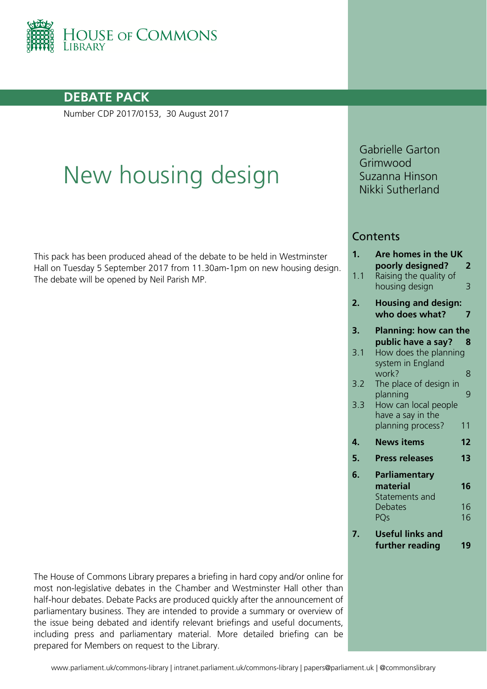

## **DEBATE PACK**

Number CDP 2017/0153, 30 August 2017

# New housing design

This pack has been produced ahead of the debate to be held in Westminster Hall on Tuesday 5 September 2017 from 11.30am-1pm on new housing design. The debate will be opened by Neil Parish MP.

Gabrielle Garton Grimwood Suzanna Hinson Nikki Sutherland

## **Contents**

| 1.  | Are homes in the UK          |    |
|-----|------------------------------|----|
|     | poorly designed?             | 2  |
| 1.1 | Raising the quality of       |    |
|     | housing design               | 3  |
| 2.  | <b>Housing and design:</b>   |    |
|     | who does what?               | 7  |
| 3.  | <b>Planning: how can the</b> |    |
|     | public have a say?           | 8  |
| 3.1 | How does the planning        |    |
|     | system in England            |    |
|     | work?                        | 8  |
| 3.2 | The place of design in       |    |
|     | planning                     | 9  |
| 3.3 | How can local people         |    |
|     | have a say in the            |    |
|     | planning process?            | 11 |
| 4.  | <b>News items</b>            | 12 |
| 5.  | <b>Press releases</b>        | 13 |
| 6.  | Parliamentary                |    |
|     | material                     | 16 |
|     | Statements and               |    |
|     | <b>Debates</b>               | 16 |
|     | PQs                          | 16 |
| 7.  | <b>Useful links and</b>      |    |
|     | further reading              | 19 |
|     |                              |    |

The House of Commons Library prepares a briefing in hard copy and/or online for most non-legislative debates in the Chamber and Westminster Hall other than half-hour debates. Debate Packs are produced quickly after the announcement of parliamentary business. They are intended to provide a summary or overview of the issue being debated and identify relevant briefings and useful documents, including press and parliamentary material. More detailed briefing can be prepared for Members on request to the Library.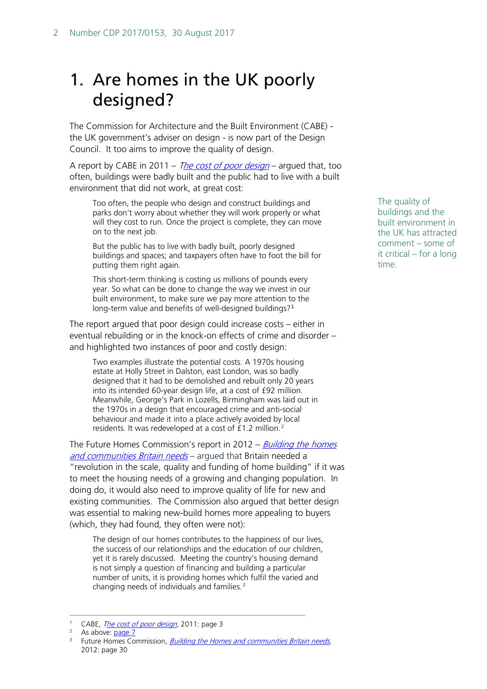# <span id="page-1-0"></span>1. Are homes in the UK poorly designed?

The Commission for Architecture and the Built Environment (CABE) the UK government's adviser on design - is now part of the Design Council. It too aims to improve the quality of design.

A report by CABE in 2011 – [The cost of poor design](http://webarchive.nationalarchives.gov.uk/20110118134605/http:/www.cabe.org.uk/files/the-cost-of-bad-design.pdf) – argued that, too often, buildings were badly built and the public had to live with a built environment that did not work, at great cost:

Too often, the people who design and construct buildings and parks don't worry about whether they will work properly or what will they cost to run. Once the project is complete, they can move on to the next job.

But the public has to live with badly built, poorly designed buildings and spaces; and taxpayers often have to foot the bill for putting them right again.

This short-term thinking is costing us millions of pounds every year. So what can be done to change the way we invest in our built environment, to make sure we pay more attention to the long-term value and benefits of well-designed buildings?[1](#page-1-1)

The report argued that poor design could increase costs – either in eventual rebuilding or in the knock-on effects of crime and disorder – and highlighted two instances of poor and costly design:

Two examples illustrate the potential costs. A 1970s housing estate at Holly Street in Dalston, east London, was so badly designed that it had to be demolished and rebuilt only 20 years into its intended 60-year design life, at a cost of £92 million. Meanwhile, George's Park in Lozells, Birmingham was laid out in the 1970s in a design that encouraged crime and anti-social behaviour and made it into a place actively avoided by local residents. It was redeveloped at a cost of £1.2 million.[2](#page-1-2)

The Future Homes Commission's report in 2012 – *Building the homes* [and communities Britain needs](https://communities.rics.org/connect.ti/resipg/view?objectId=8224645) - argued that Britain needed a "revolution in the scale, quality and funding of home building" if it was to meet the housing needs of a growing and changing population. In doing do, it would also need to improve quality of life for new and existing communities. The Commission also argued that better design was essential to making new-build homes more appealing to buyers (which, they had found, they often were not):

The design of our homes contributes to the happiness of our lives, the success of our relationships and the education of our children, yet it is rarely discussed. Meeting the country's housing demand is not simply a question of financing and building a particular number of units, it is providing homes which fulfil the varied and changing needs of individuals and families.[3](#page-1-3)

The quality of buildings and the built environment in the UK has attracted comment – some of it critical – for a long time.

<sup>&</sup>lt;sup>1</sup> CABE, *[The cost of poor design](http://webarchive.nationalarchives.gov.uk/20110118134605/http:/www.cabe.org.uk/files/the-cost-of-bad-design.pdf#page=5)*, 2011: page 3

<span id="page-1-2"></span><span id="page-1-1"></span> $2$  As above:  $page 7$ 

<span id="page-1-3"></span><sup>&</sup>lt;sup>3</sup> Future Homes Commission, *[Building the Homes and communities Britain needs](https://communities.rics.org/connect.ti/resipg/view?objectId=8224645)*, 2012: page 30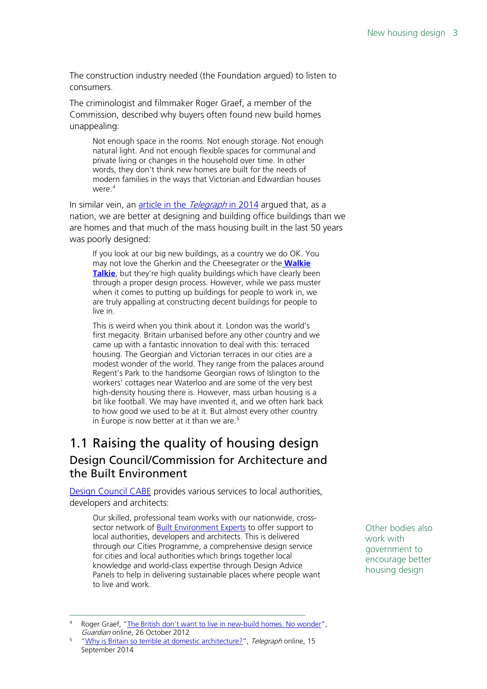The construction industry needed (the Foundation argued) to listen to consumers.

The criminologist and filmmaker Roger Graef, a member of the Commission, described why buyers often found new build homes unappealing:

Not enough space in the rooms. Not enough storage. Not enough natural light. And not enough flexible spaces for communal and private living or changes in the household over time. In other words, they don't think new homes are built for the needs of modern families in the ways that Victorian and Edwardian houses were.<sup>[4](#page-2-1)</sup>

In similar vein, an [article in the](http://www.telegraph.co.uk/men/thinking-man/11092924/Why-is-Britain-so-terrible-at-domestic-architecture.html) Telegraph in 2014 argued that, as a nation, we are better at designing and building office buildings than we are homes and that much of the mass housing built in the last 50 years was poorly designed:

If you look at our big new buildings, as a country we do OK. You may not love the Gherkin and the Cheesegrater or the **[Walkie](http://www.telegraph.co.uk/news/newstopics/howaboutthat/10280619/Glare-from-Walkie-Talkie-skyscraper-damaged-vehicles.html)  [Talkie](http://www.telegraph.co.uk/news/newstopics/howaboutthat/10280619/Glare-from-Walkie-Talkie-skyscraper-damaged-vehicles.html)**, but they're high quality buildings which have clearly been through a proper design process. However, while we pass muster when it comes to putting up buildings for people to work in, we are truly appalling at constructing decent buildings for people to live in.

This is weird when you think about it. London was the world's first megacity. Britain urbanised before any other country and we came up with a fantastic innovation to deal with this: terraced housing. The Georgian and Victorian terraces in our cities are a modest wonder of the world. They range from the palaces around Regent's Park to the handsome Georgian rows of Islington to the workers' cottages near Waterloo and are some of the very best high-density housing there is. However, mass urban housing is a bit like football. We may have invented it, and we often hark back to how good we used to be at it. But almost every other country in Europe is now better at it than we are. $5$ 

## <span id="page-2-0"></span>1.1 Raising the quality of housing design Design Council/Commission for Architecture and the Built Environment

[Design Council CABE](http://www.designcouncil.org.uk/our-services/built-environment-cabe) provides various services to local authorities, developers and architects:

Our skilled, professional team works with our nationwide, crosssector network of **Built Environment Experts** to offer support to local authorities, developers and architects. This is delivered through our Cities Programme, a comprehensive design service for cities and local authorities which brings together local knowledge and world-class expertise through Design Advice Panels to help in delivering sustainable places where people want to live and work.

Other bodies also work with government to encourage better housing design

<span id="page-2-1"></span>Roger Graef, ["The British don't want to live in new-build homes. No wonder"](https://www.theguardian.com/commentisfree/2012/oct/26/new-build-homes-british), Guardian online, 26 October 2012

<span id="page-2-2"></span><sup>&</sup>lt;sup>5</sup> ["Why is Britain so terrible at domestic architecture?"](http://www.telegraph.co.uk/men/thinking-man/11092924/Why-is-Britain-so-terrible-at-domestic-architecture.html), Telegraph online, 15 September 2014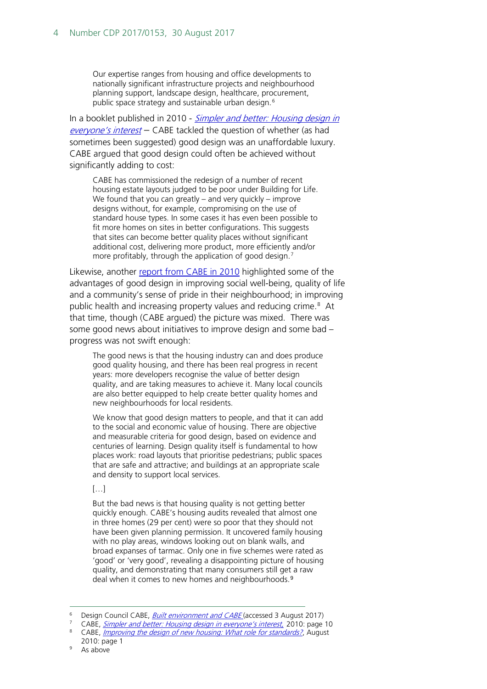Our expertise ranges from housing and office developments to nationally significant infrastructure projects and neighbourhood planning support, landscape design, healthcare, procurement, public space strategy and sustainable urban design.<sup>[6](#page-3-0)</sup>

In a booklet published in 2010 - Simpler and better: Housing design in everyone['s interest](http://www.designcouncil.org.uk/sites/default/files/asset/document/simpler-and-better_2.pdf) - CABE tackled the question of whether (as had sometimes been suggested) good design was an unaffordable luxury. CABE argued that good design could often be achieved without significantly adding to cost:

CABE has commissioned the redesign of a number of recent housing estate layouts judged to be poor under Building for Life. We found that you can greatly – and very quickly – improve designs without, for example, compromising on the use of standard house types. In some cases it has even been possible to fit more homes on sites in better configurations. This suggests that sites can become better quality places without significant additional cost, delivering more product, more efficiently and/or more profitably, through the application of good design.<sup>[7](#page-3-1)</sup>

Likewise, another [report from CABE](http://www.designcouncil.org.uk/sites/default/files/asset/document/improving-the-design-of-new-housing.pdf) in 2010 highlighted some of the advantages of good design in improving social well-being, quality of life and a community's sense of pride in their neighbourhood; in improving public health and increasing property values and reducing crime.<sup>[8](#page-3-2)</sup> At that time, though (CABE argued) the picture was mixed. There was some good news about initiatives to improve design and some bad – progress was not swift enough:

The good news is that the housing industry can and does produce good quality housing, and there has been real progress in recent years: more developers recognise the value of better design quality, and are taking measures to achieve it. Many local councils are also better equipped to help create better quality homes and new neighbourhoods for local residents.

We know that good design matters to people, and that it can add to the social and economic value of housing. There are objective and measurable criteria for good design, based on evidence and centuries of learning. Design quality itself is fundamental to how places work: road layouts that prioritise pedestrians; public spaces that are safe and attractive; and buildings at an appropriate scale and density to support local services.

[…]

But the bad news is that housing quality is not getting better quickly enough. CABE's housing audits revealed that almost one in three homes (29 per cent) were so poor that they should not have been given planning permission. It uncovered family housing with no play areas, windows looking out on blank walls, and broad expanses of tarmac. Only one in five schemes were rated as 'good' or 'very good', revealing a disappointing picture of housing quality, and demonstrating that many consumers still get a raw deal when it comes to new homes and neighbourhoods.<sup>[9](#page-3-3)</sup>

<span id="page-3-0"></span>Design Council CABE, *[Built environment and CABE](http://www.designcouncil.org.uk/our-services/built-environment-cabe)* (accessed 3 August 2017)

<span id="page-3-2"></span><span id="page-3-1"></span><sup>7</sup> CABE, [Simpler and better: Housing design in everyone's interest,](http://www.designcouncil.org.uk/sites/default/files/asset/document/simpler-and-better_2.pdf) 2010: page 10

CABE, [Improving the design of new housing: What role for standards?](http://www.designcouncil.org.uk/sites/default/files/asset/document/improving-the-design-of-new-housing.pdf#page=3), August 2010: page 1<br>As above

<span id="page-3-3"></span>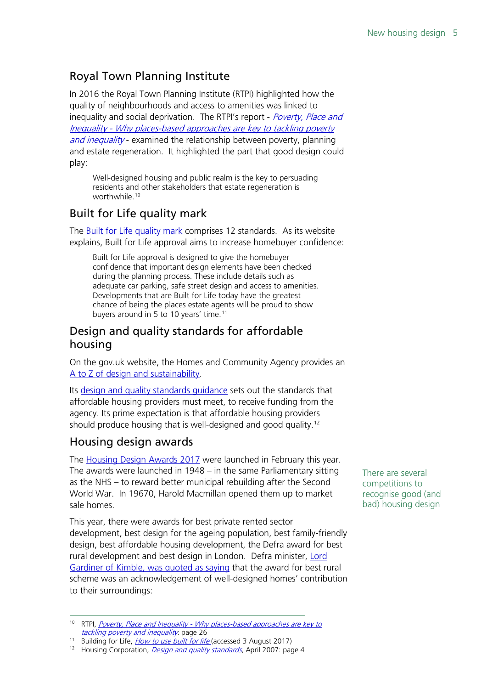## Royal Town Planning Institute

In 2016 the Royal Town Planning Institute (RTPI) highlighted how the quality of neighbourhoods and access to amenities was linked to inequality and social deprivation. The RTPI's report - *Poverty, Place and* Inequality - [Why places-based approaches are key to tackling poverty](http://www.rtpi.org.uk/media/1811222/poverty_place_and_inequality.pdf)  [and inequality](http://www.rtpi.org.uk/media/1811222/poverty_place_and_inequality.pdf) - examined the relationship between poverty, planning and estate regeneration. It highlighted the part that good design could play:

Well-designed housing and public realm is the key to persuading residents and other stakeholders that estate regeneration is worthwhile.<sup>[10](#page-4-0)</sup>

## Built for Life quality mark

The [Built for Life quality mark c](http://www.builtforlifehomes.org/go/about)omprises 12 standards. As its website explains, Built for Life approval aims to increase homebuyer confidence:

Built for Life approval is designed to give the homebuyer confidence that important design elements have been checked during the planning process. These include details such as adequate car parking, safe street design and access to amenities. Developments that are Built for Life today have the greatest chance of being the places estate agents will be proud to show buyers around in 5 to 10 years' time.<sup>[11](#page-4-1)</sup>

## Design and quality standards for affordable housing

On the gov.uk website, the Homes and Community Agency provides an [A to Z of design and sustainability.](https://www.gov.uk/topic/housing/design-and-sustainability)

Its [design and quality standards guidance](https://www.gov.uk/government/uploads/system/uploads/attachment_data/file/313392/design_quality_standards.pdf) sets out the standards that affordable housing providers must meet, to receive funding from the agency. Its prime expectation is that affordable housing providers should produce housing that is well-designed and good quality.<sup>[12](#page-4-2)</sup>

## Housing design awards

The [Housing Design Awards 2017](http://hdawards.org/) were launched in February this year. The awards were launched in 1948 – in the same Parliamentary sitting as the NHS – to reward better municipal rebuilding after the Second World War. In 19670, Harold Macmillan opened them up to market sale homes.

This year, there were awards for best private rented sector development, best design for the ageing population, best family-friendly design, best affordable housing development, the Defra award for best rural development and best design in London. Defra minister, Lord [Gardiner of Kimble, was quoted as saying](https://www.architectsjournal.co.uk/news/housing-design-awards-2017-open-for-entries/10017074.article) that the award for best rural scheme was an acknowledgement of well-designed homes' contribution to their surroundings:

There are several competitions to recognise good (and bad) housing design

<span id="page-4-0"></span><sup>&</sup>lt;sup>10</sup> RTPI, *Poverty, Place and Inequality - Why places-based approaches are key to* [tackling poverty and inequality](http://www.rtpi.org.uk/media/1811222/poverty_place_and_inequality.pdf#page=27) page 26

<sup>&</sup>lt;sup>11</sup> Building for Life, *[How to use built](http://www.builtforlifehomes.org/go/about) for life* (accessed 3 August 2017)

<span id="page-4-2"></span><span id="page-4-1"></span><sup>&</sup>lt;sup>12</sup> Housing Corporation, *[Design and quality standards](https://www.gov.uk/government/uploads/system/uploads/attachment_data/file/313392/design_quality_standards.pdf#page=6)*, April 2007: page 4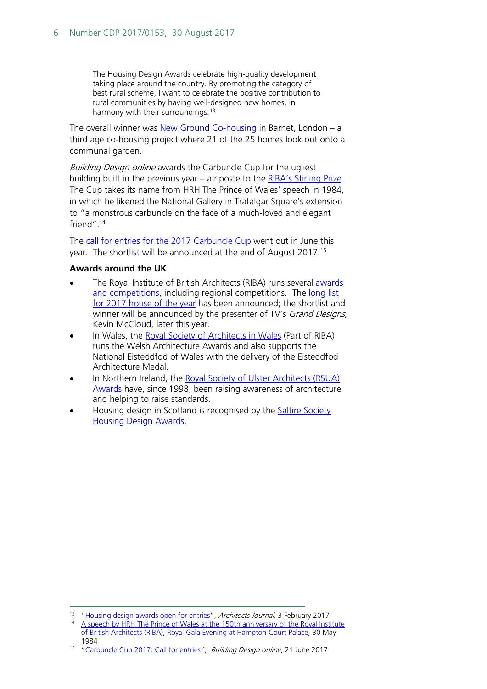The Housing Design Awards celebrate high-quality development taking place around the country. By promoting the category of best rural scheme, I want to celebrate the positive contribution to rural communities by having well-designed new homes, in harmony with their surroundings.<sup>[13](#page-5-0)</sup>

The overall winner was **New Ground Co-housing** in Barnet, London  $-$  a third age co-housing project where 21 of the 25 homes look out onto a communal garden.

Building Design online awards the Carbuncle Cup for the ugliest building built in the previous year – a riposte to the [RIBA's Stirling Prize.](https://www.architecture.com/ribastirlingprize) The Cup takes its name from HRH The Prince of Wales' speech in 1984, in which he likened the National Gallery in Trafalgar Square's extension to "a monstrous carbuncle on the face of a much-loved and elegant friend". [14](#page-5-1)

The [call for entries for the 2017 Carbuncle Cup](http://www.bdonline.co.uk/carbuncle-cup-2017-call-for-entries/5088323.article) went out in June this year. The shortlist will be announced at the end of August 2017. [15](#page-5-2)

## **Awards around the UK**

- The Royal Institute of British Architects (RIBA) runs several awards [and competitions,](https://www.architecture.com/awards-and-competitions-landing-page) including regional competitions. The long list [for 2017 house of the year](https://www.architecture.com/awards-and-competitions-landing-page/awards/riba-house-of-the-year) has been announced; the shortlist and winner will be announced by the presenter of TV's *Grand Designs*, Kevin McCloud, later this year.
- In Wales, the [Royal Society of Architects in Wales](https://www.architecture.com/my-local-riba/rsaw) (Part of RIBA) runs the Welsh Architecture Awards and also supports the National Eisteddfod of Wales with the delivery of the Eisteddfod Architecture Medal.
- In Northern Ireland, the [Royal Society of Ulster Architects \(RSUA\)](http://www.rsua.org.uk/awards.aspx)  [Awards](http://www.rsua.org.uk/awards.aspx) have, since 1998, been raising awareness of architecture and helping to raise standards.
- Housing design in Scotland is recognised by the [Saltire Society](http://www.saltiresociety.org.uk/awards/architecture/Common/Master%20Pages/favicon.ico)  [Housing Design Awards.](http://www.saltiresociety.org.uk/awards/architecture/Common/Master%20Pages/favicon.ico)

<span id="page-5-0"></span><sup>&</sup>lt;sup>13</sup> ["Housing design awards open for entries"](https://www.architectsjournal.co.uk/news/housing-design-awards-2017-open-for-entries/10017074.article), Architects Journal, 3 February 2017

<span id="page-5-1"></span><sup>&</sup>lt;sup>14</sup> A speech by HRH The Prince of Wales at the 150th anniversary of the Royal Institute [of British Architects \(RIBA\), Royal Gala Evening at Hampton Court Palace,](https://www.princeofwales.gov.uk/media/speeches/speech-hrh-the-prince-of-wales-the-150th-anniversary-of-the-royal-institute-of) 30 May 1984

<span id="page-5-2"></span><sup>&</sup>lt;sup>15</sup> ["Carbuncle Cup 2017: Call for entries"](http://www.bdonline.co.uk/carbuncle-cup-2017-call-for-entries/5088323.article), *Building Design online*, 21 June 2017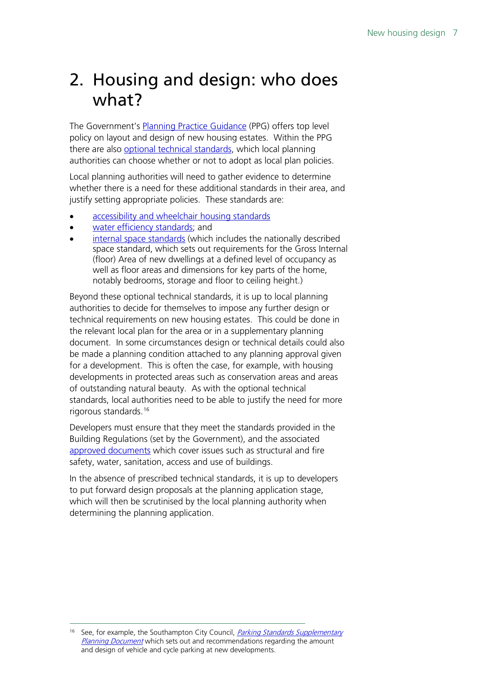# <span id="page-6-0"></span>2. Housing and design: who does what?

The Government's [Planning Practice Guidance](http://planningguidance.planningportal.gov.uk/blog/guidance/design/how-should-buildings-and-the-spaces-between-them-be-considered/) (PPG) offers top level policy on layout and design of new housing estates. Within the PPG there are also [optional technical standards,](http://planningguidance.planningportal.gov.uk/blog/guidance/housing-optional-technical-standards/) which local planning authorities can choose whether or not to adopt as local plan policies.

Local planning authorities will need to gather evidence to determine whether there is a need for these additional standards in their area, and justify setting appropriate policies. These standards are:

- [accessibility and wheelchair housing standards](http://planningguidance.planningportal.gov.uk/blog/guidance/housing-optional-technical-standards/accessibility-and-wheelchair-housing-standards/)
- [water efficiency standards;](http://planningguidance.planningportal.gov.uk/blog/guidance/housing-optional-technical-standards/water-efficiency-standards/) and
- [internal space standards](http://planningguidance.planningportal.gov.uk/blog/guidance/housing-optional-technical-standards/internal-space-standards/) (which includes the nationally described space standard, which sets out requirements for the Gross Internal (floor) Area of new dwellings at a defined level of occupancy as well as floor areas and dimensions for key parts of the home, notably bedrooms, storage and floor to ceiling height.)

Beyond these optional technical standards, it is up to local planning authorities to decide for themselves to impose any further design or technical requirements on new housing estates. This could be done in the relevant local plan for the area or in a supplementary planning document. In some circumstances design or technical details could also be made a planning condition attached to any planning approval given for a development. This is often the case, for example, with housing developments in protected areas such as conservation areas and areas of outstanding natural beauty. As with the optional technical standards, local authorities need to be able to justify the need for more rigorous standards[.16](#page-6-1)

Developers must ensure that they meet the standards provided in the Building Regulations (set by the Government), and the associated [approved documents](http://www.planningportal.gov.uk/buildingregulations/approveddocuments/) which cover issues such as structural and fire safety, water, sanitation, access and use of buildings.

In the absence of prescribed technical standards, it is up to developers to put forward design proposals at the planning application stage, which will then be scrutinised by the local planning authority when determining the planning application.

<span id="page-6-1"></span><sup>&</sup>lt;sup>16</sup> See, for example, the Southampton City Council, *Parking Standards Supplementary* [Planning Document](https://www.southampton.gov.uk/planning/planning-policy/supplementary-planning/parking-standards-spd.aspx) which sets out and recommendations regarding the amount and design of vehicle and cycle parking at new developments.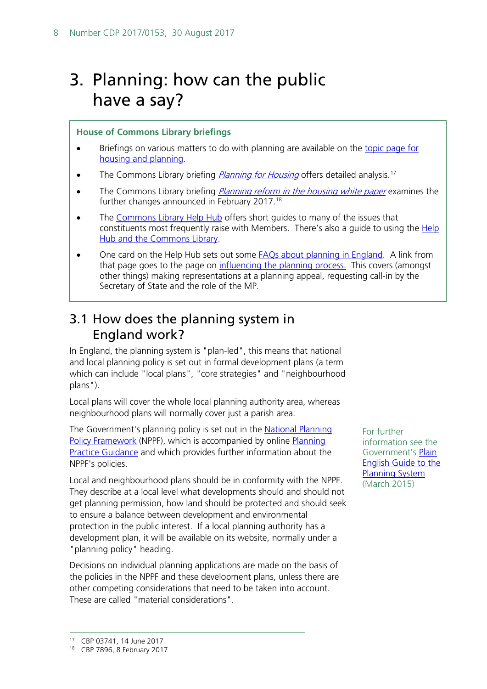# <span id="page-7-0"></span>3. Planning: how can the public have a say?

## **House of Commons Library briefings**

- Briefings on various matters to do with planning are available on the topic page for [housing and planning.](http://researchbriefings.parliament.uk/?ContentType=&Topic=Housing+and+planning&SubTopic=Planning&Year=&SortByAscending=false)
- The Commons Library briefing *[Planning for Housing](http://researchbriefings.intranet.parliament.uk/ResearchBriefing/Summary/SN03741)* offers detailed analysis.<sup>17</sup>
- The Commons Library briefing *[Planning reform in the housing white paper](http://researchbriefings.parliament.uk/ResearchBriefing/Summary/CBP-7896)* examines the further changes announced in February 2017.[18](#page-7-3)
- The [Commons Library Help Hub](https://hopuk.sharepoint.com/sites/dis-helphub/Pages/A-Z-listing-page.aspx) offers short quides to many of the issues that constituents most frequently raise with Members. There's also a guide to using the Help [Hub and the Commons Library.](https://hopuk.sharepoint.com/sites/dis-helphub/Pages/Using-the-Library.aspx)
- One card on the Help Hub sets out some [FAQs about planning in England.](https://hopuk.sharepoint.com/sites/dis-helphub/Pages/Planning-in-England-Frequently-Asked-Questions.aspx) A link from that page goes to the page on [influencing the planning process.](https://hopuk.sharepoint.com/sites/dis-helphub/Pages/Influencing-the-planning-process.aspx) This covers (amongst other things) making representations at a planning appeal, requesting call-in by the Secretary of State and the role of the MP.

## <span id="page-7-1"></span>3.1 How does the planning system in England work?

In England, the planning system is "plan-led", this means that national and local planning policy is set out in formal development plans (a term which can include "local plans", "core strategies" and "neighbourhood plans").

Local plans will cover the whole local planning authority area, whereas neighbourhood plans will normally cover just a parish area.

The Government's planning policy is set out in the National Planning [Policy Framework](https://www.gov.uk/government/publications/national-planning-policy-framework--2) (NPPF), which is accompanied by online Planning [Practice Guidance](http://planningguidance.communities.gov.uk/blog/guidance/housing-and-economic-land-availability-assessment/stage-5-final-evidence-base/) and which provides further information about the NPPF's policies.

Local and neighbourhood plans should be in conformity with the NPPF. They describe at a local level what developments should and should not get planning permission, how land should be protected and should seek to ensure a balance between development and environmental protection in the public interest. If a local planning authority has a development plan, it will be available on its website, normally under a "planning policy" heading.

Decisions on individual planning applications are made on the basis of the policies in the NPPF and these development plans, unless there are other competing considerations that need to be taken into account. These are called "material considerations".

For further information see the Government's [Plain](https://www.gov.uk/government/uploads/system/uploads/attachment_data/file/391694/Plain_English_guide_to_the_planning_system.pdf)  [English Guide to the](https://www.gov.uk/government/uploads/system/uploads/attachment_data/file/391694/Plain_English_guide_to_the_planning_system.pdf)  [Planning System](https://www.gov.uk/government/uploads/system/uploads/attachment_data/file/391694/Plain_English_guide_to_the_planning_system.pdf) (March 2015)

<span id="page-7-2"></span> <sup>17</sup> CBP 03741, 14 June 2017

<span id="page-7-3"></span><sup>18</sup> CBP 7896, 8 February 2017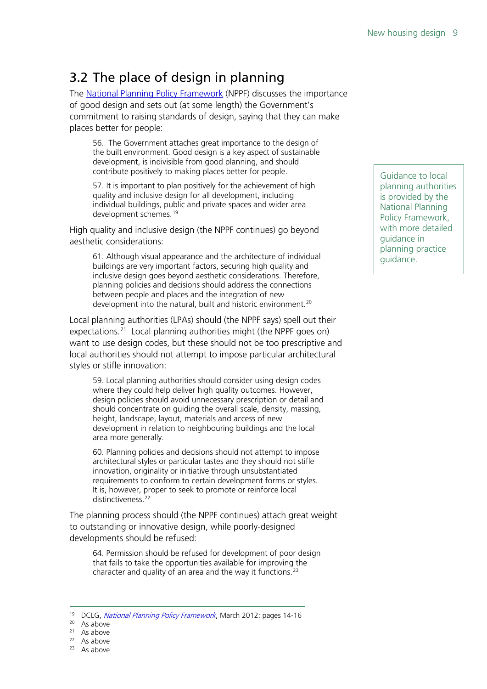# <span id="page-8-0"></span>3.2 The place of design in planning

The [National Planning Policy Framework](https://www.gov.uk/government/publications/national-planning-policy-framework--2) (NPPF) discusses the importance of good design and sets out (at some length) the Government's commitment to raising standards of design, saying that they can make places better for people:

56. The Government attaches great importance to the design of the built environment. Good design is a key aspect of sustainable development, is indivisible from good planning, and should contribute positively to making places better for people.

57. It is important to plan positively for the achievement of high quality and inclusive design for all development, including individual buildings, public and private spaces and wider area development schemes.<sup>[19](#page-8-1)</sup>

High quality and inclusive design (the NPPF continues) go beyond aesthetic considerations:

61. Although visual appearance and the architecture of individual buildings are very important factors, securing high quality and inclusive design goes beyond aesthetic considerations. Therefore, planning policies and decisions should address the connections between people and places and the integration of new development into the natural, built and historic environment.<sup>[20](#page-8-2)</sup>

Local planning authorities (LPAs) should (the NPPF says) spell out their expectations.<sup>21</sup> Local planning authorities might (the NPPF goes on) want to use design codes, but these should not be too prescriptive and local authorities should not attempt to impose particular architectural styles or stifle innovation:

59. Local planning authorities should consider using design codes where they could help deliver high quality outcomes. However, design policies should avoid unnecessary prescription or detail and should concentrate on guiding the overall scale, density, massing, height, landscape, layout, materials and access of new development in relation to neighbouring buildings and the local area more generally.

60. Planning policies and decisions should not attempt to impose architectural styles or particular tastes and they should not stifle innovation, originality or initiative through unsubstantiated requirements to conform to certain development forms or styles. It is, however, proper to seek to promote or reinforce local distinctiveness.<sup>[22](#page-8-4)</sup>

The planning process should (the NPPF continues) attach great weight to outstanding or innovative design, while poorly-designed developments should be refused:

64. Permission should be refused for development of poor design that fails to take the opportunities available for improving the character and quality of an area and the way it functions.<sup>[23](#page-8-5)</sup>

- <span id="page-8-4"></span><span id="page-8-3"></span><sup>22</sup> As above
- <span id="page-8-5"></span><sup>23</sup> As above

Guidance to local planning authorities is provided by the National Planning Policy Framework, with more detailed guidance in planning practice guidance.

<span id="page-8-2"></span><span id="page-8-1"></span><sup>&</sup>lt;sup>19</sup> DCLG, *National Planning [Policy Framework](https://www.gov.uk/government/uploads/system/uploads/attachment_data/file/6077/2116950.pdf#page=20)*, March 2012: pages 14-16

<sup>20</sup> As above

 $21$  As above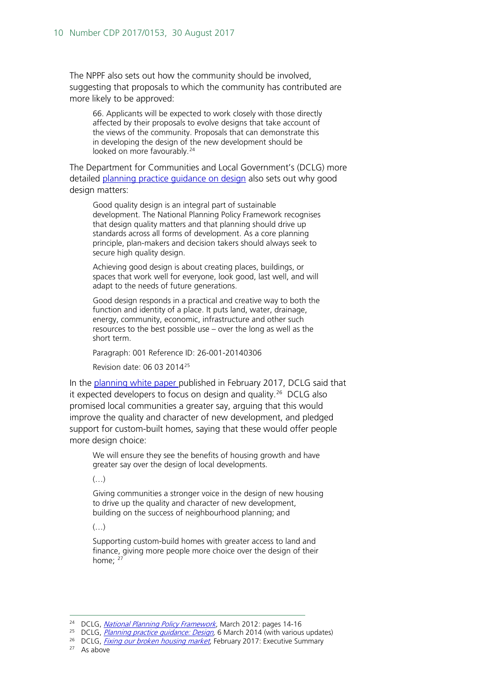The NPPF also sets out how the community should be involved, suggesting that proposals to which the community has contributed are more likely to be approved:

66. Applicants will be expected to work closely with those directly affected by their proposals to evolve designs that take account of the views of the community. Proposals that can demonstrate this in developing the design of the new development should be looked on more favourably.<sup>[24](#page-9-0)</sup>

The Department for Communities and Local Government's (DCLG) more detailed [planning practice guidance on design](https://www.gov.uk/guidance/design) also sets out why good design matters:

Good quality design is an integral part of sustainable development. The National Planning Policy Framework recognises that design quality matters and that planning should drive up standards across all forms of development. As a core planning principle, plan-makers and decision takers should always seek to secure high quality design.

Achieving good design is about creating places, buildings, or spaces that work well for everyone, look good, last well, and will adapt to the needs of future generations.

Good design responds in a practical and creative way to both the function and identity of a place. It puts land, water, drainage, energy, community, economic, infrastructure and other such resources to the best possible use – over the long as well as the short term.

Paragraph: 001 Reference ID: 26-001-20140306

Revision date: 06 03 2014[25](#page-9-1)

In the [planning white paper p](https://www.gov.uk/government/uploads/system/uploads/attachment_data/file/590463/Fixing_our_broken_housing_market_-_accessible_version.pdf)ublished in February 2017, DCLG said that it expected developers to focus on design and quality. [26](#page-9-2) DCLG also promised local communities a greater say, arguing that this would improve the quality and character of new development, and pledged support for custom-built homes, saying that these would offer people more design choice:

We will ensure they see the benefits of housing growth and have greater say over the design of local developments.

 $\left(\ldots\right)$ 

Giving communities a stronger voice in the design of new housing to drive up the quality and character of new development, building on the success of neighbourhood planning; and

 $\left(\ldots\right)$ 

Supporting custom-build homes with greater access to land and finance, giving more people more choice over the design of their home:  $2^7$ 

<span id="page-9-3"></span><sup>27</sup> As above

<sup>&</sup>lt;sup>24</sup> DCLG, *National Planning [Policy Framework](https://www.gov.uk/government/uploads/system/uploads/attachment_data/file/6077/2116950.pdf#page=20)*, March 2012: pages 14-16

<span id="page-9-1"></span><span id="page-9-0"></span><sup>&</sup>lt;sup>25</sup> DCLG, *Planning practice guidance: Design*, 6 March 2014 (with various updates)

<span id="page-9-2"></span><sup>&</sup>lt;sup>26</sup> DCLG, *[Fixing our broken housing market](https://www.gov.uk/government/uploads/system/uploads/attachment_data/file/590463/Fixing_our_broken_housing_market_-_accessible_version.pdf#page=17)*, February 2017: Executive Summary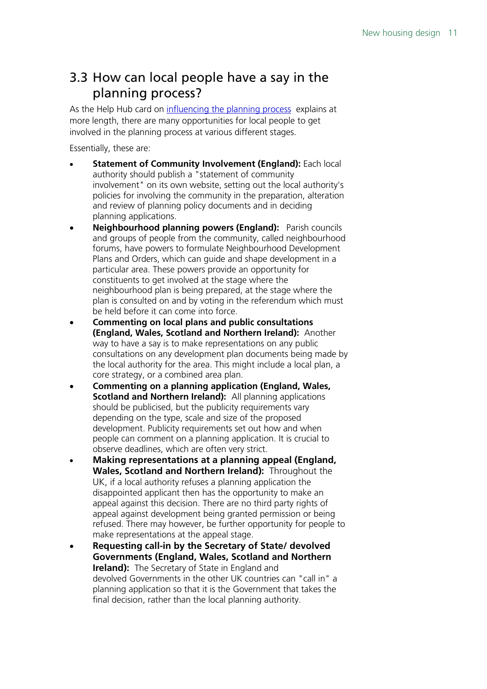## <span id="page-10-0"></span>3.3 How can local people have a say in the planning process?

As the Help Hub card on [influencing the planning process](https://hopuk.sharepoint.com/sites/dis-helphub/Pages/Influencing-the-planning-process.aspx) explains at more length, there are many opportunities for local people to get involved in the planning process at various different stages.

Essentially, these are:

- **Statement of Community Involvement (England):** Each local authority should publish a "statement of community involvement" on its own website, setting out the local authority's policies for involving the community in the preparation, alteration and review of planning policy documents and in deciding planning applications.
- **Neighbourhood planning powers (England):** Parish councils and groups of people from the community, called neighbourhood forums, have powers to formulate Neighbourhood Development Plans and Orders, which can guide and shape development in a particular area. These powers provide an opportunity for constituents to get involved at the stage where the neighbourhood plan is being prepared, at the stage where the plan is consulted on and by voting in the referendum which must be held before it can come into force.
- **Commenting on local plans and public consultations (England, Wales, Scotland and Northern Ireland):** Another way to have a say is to make representations on any public consultations on any development plan documents being made by the local authority for the area. This might include a local plan, a core strategy, or a combined area plan.
- **Commenting on a planning application (England, Wales, Scotland and Northern Ireland):** All planning applications should be publicised, but the publicity requirements vary depending on the type, scale and size of the proposed development. Publicity requirements set out how and when people can comment on a planning application. It is crucial to observe deadlines, which are often very strict.
- **Making representations at a planning appeal (England, Wales, Scotland and Northern Ireland):** Throughout the UK, if a local authority refuses a planning application the disappointed applicant then has the opportunity to make an appeal against this decision. There are no third party rights of appeal against development being granted permission or being refused. There may however, be further opportunity for people to make representations at the appeal stage.
- **Requesting call-in by the Secretary of State/ devolved Governments (England, Wales, Scotland and Northern Ireland):** The Secretary of State in England and devolved Governments in the other UK countries can "call in" a planning application so that it is the Government that takes the final decision, rather than the local planning authority.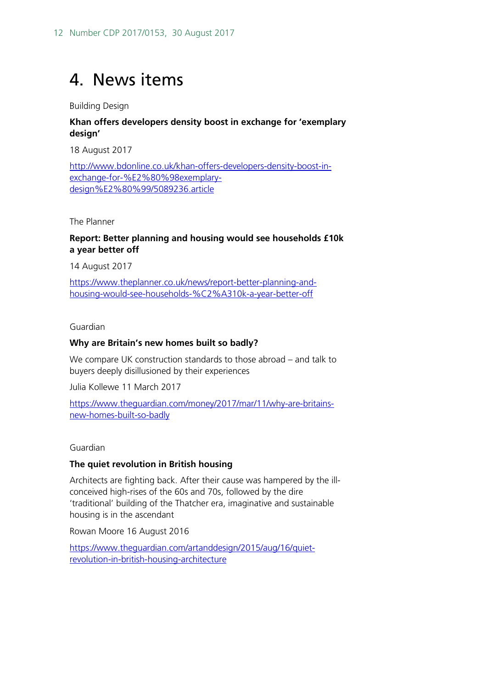# <span id="page-11-0"></span>4. News items

Building Design

## **Khan offers developers density boost in exchange for 'exemplary design'**

18 August 2017

[http://www.bdonline.co.uk/khan-offers-developers-density-boost-in](http://www.bdonline.co.uk/khan-offers-developers-density-boost-in-exchange-for-%E2%80%98exemplary-design%E2%80%99/5089236.article)[exchange-for-%E2%80%98exemplary](http://www.bdonline.co.uk/khan-offers-developers-density-boost-in-exchange-for-%E2%80%98exemplary-design%E2%80%99/5089236.article)[design%E2%80%99/5089236.article](http://www.bdonline.co.uk/khan-offers-developers-density-boost-in-exchange-for-%E2%80%98exemplary-design%E2%80%99/5089236.article)

The Planner

## **Report: Better planning and housing would see households £10k a year better off**

14 August 2017

[https://www.theplanner.co.uk/news/report-better-planning-and](https://www.theplanner.co.uk/news/report-better-planning-and-housing-would-see-households-%C2%A310k-a-year-better-off)[housing-would-see-households-%C2%A310k-a-year-better-off](https://www.theplanner.co.uk/news/report-better-planning-and-housing-would-see-households-%C2%A310k-a-year-better-off)

## Guardian

## **Why are Britain's new homes built so badly?**

We compare UK construction standards to those abroad – and talk to buyers deeply disillusioned by their experiences

Julia Kollewe 11 March 2017

[https://www.theguardian.com/money/2017/mar/11/why-are-britains](https://www.theguardian.com/money/2017/mar/11/why-are-britains-new-homes-built-so-badly)[new-homes-built-so-badly](https://www.theguardian.com/money/2017/mar/11/why-are-britains-new-homes-built-so-badly)

Guardian

## **The quiet revolution in British housing**

Architects are fighting back. After their cause was hampered by the illconceived high-rises of the 60s and 70s, followed by the dire 'traditional' building of the Thatcher era, imaginative and sustainable housing is in the ascendant

Rowan Moore 16 August 2016

[https://www.theguardian.com/artanddesign/2015/aug/16/quiet](https://www.theguardian.com/artanddesign/2015/aug/16/quiet-revolution-in-british-housing-architecture)[revolution-in-british-housing-architecture](https://www.theguardian.com/artanddesign/2015/aug/16/quiet-revolution-in-british-housing-architecture)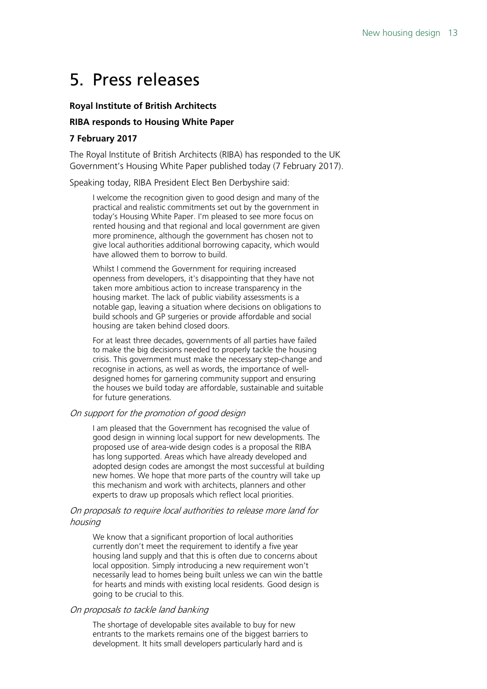# <span id="page-12-0"></span>5. Press releases

#### **Royal Institute of British Architects**

#### **RIBA responds to Housing White Paper**

#### **7 February 2017**

The Royal Institute of British Architects (RIBA) has responded to the UK Government's Housing White Paper published today (7 February 2017).

Speaking today, RIBA President Elect Ben Derbyshire said:

I welcome the recognition given to good design and many of the practical and realistic commitments set out by the government in today's Housing White Paper. I'm pleased to see more focus on rented housing and that regional and local government are given more prominence, although the government has chosen not to give local authorities additional borrowing capacity, which would have allowed them to borrow to build.

Whilst I commend the Government for requiring increased openness from developers, it's disappointing that they have not taken more ambitious action to increase transparency in the housing market. The lack of public viability assessments is a notable gap, leaving a situation where decisions on obligations to build schools and GP surgeries or provide affordable and social housing are taken behind closed doors.

For at least three decades, governments of all parties have failed to make the big decisions needed to properly tackle the housing crisis. This government must make the necessary step-change and recognise in actions, as well as words, the importance of welldesigned homes for garnering community support and ensuring the houses we build today are affordable, sustainable and suitable for future generations.

## On support for the promotion of good design

I am pleased that the Government has recognised the value of good design in winning local support for new developments. The proposed use of area-wide design codes is a proposal the RIBA has long supported. Areas which have already developed and adopted design codes are amongst the most successful at building new homes. We hope that more parts of the country will take up this mechanism and work with architects, planners and other experts to draw up proposals which reflect local priorities.

#### On proposals to require local authorities to release more land for housing

We know that a significant proportion of local authorities currently don't meet the requirement to identify a five year housing land supply and that this is often due to concerns about local opposition. Simply introducing a new requirement won't necessarily lead to homes being built unless we can win the battle for hearts and minds with existing local residents. Good design is going to be crucial to this.

#### On proposals to tackle land banking

The shortage of developable sites available to buy for new entrants to the markets remains one of the biggest barriers to development. It hits small developers particularly hard and is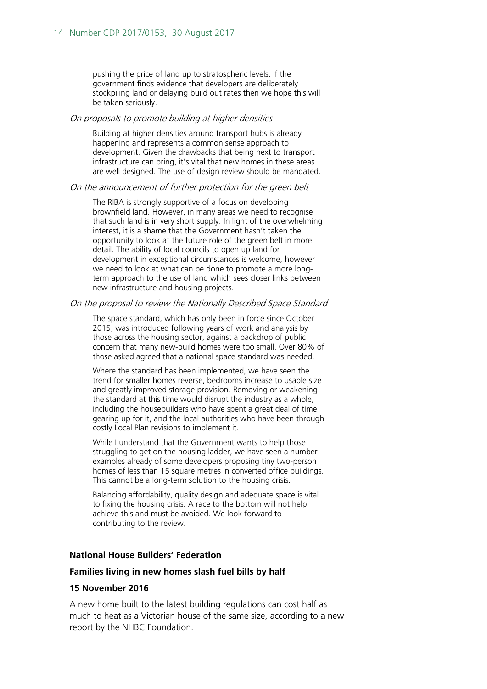pushing the price of land up to stratospheric levels. If the government finds evidence that developers are deliberately stockpiling land or delaying build out rates then we hope this will be taken seriously.

#### On proposals to promote building at higher densities

Building at higher densities around transport hubs is already happening and represents a common sense approach to development. Given the drawbacks that being next to transport infrastructure can bring, it's vital that new homes in these areas are well designed. The use of design review should be mandated.

#### On the announcement of further protection for the green belt

The RIBA is strongly supportive of a focus on developing brownfield land. However, in many areas we need to recognise that such land is in very short supply. In light of the overwhelming interest, it is a shame that the Government hasn't taken the opportunity to look at the future role of the green belt in more detail. The ability of local councils to open up land for development in exceptional circumstances is welcome, however we need to look at what can be done to promote a more longterm approach to the use of land which sees closer links between new infrastructure and housing projects.

#### On the proposal to review the Nationally Described Space Standard

The space standard, which has only been in force since October 2015, was introduced following years of work and analysis by those across the housing sector, against a backdrop of public concern that many new-build homes were too small. Over 80% of those asked agreed that a national space standard was needed.

Where the standard has been implemented, we have seen the trend for smaller homes reverse, bedrooms increase to usable size and greatly improved storage provision. Removing or weakening the standard at this time would disrupt the industry as a whole, including the housebuilders who have spent a great deal of time gearing up for it, and the local authorities who have been through costly Local Plan revisions to implement it.

While I understand that the Government wants to help those struggling to get on the housing ladder, we have seen a number examples already of some developers proposing tiny two-person homes of less than 15 square metres in converted office buildings. This cannot be a long-term solution to the housing crisis.

Balancing affordability, quality design and adequate space is vital to fixing the housing crisis. A race to the bottom will not help achieve this and must be avoided. We look forward to contributing to the review.

## **National House Builders' Federation**

#### **Families living in new homes slash fuel bills by half**

#### **15 November 2016**

A new home built to the latest building regulations can cost half as much to heat as a Victorian house of the same size, according to a new report by the NHBC Foundation.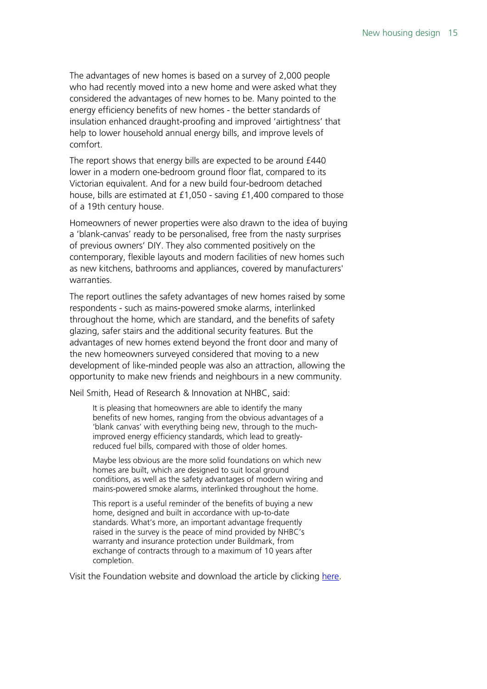The advantages of new homes is based on a survey of 2,000 people who had recently moved into a new home and were asked what they considered the advantages of new homes to be. Many pointed to the energy efficiency benefits of new homes - the better standards of insulation enhanced draught-proofing and improved 'airtightness' that help to lower household annual energy bills, and improve levels of comfort.

The report shows that energy bills are expected to be around £440 lower in a modern one-bedroom ground floor flat, compared to its Victorian equivalent. And for a new build four-bedroom detached house, bills are estimated at £1,050 - saving £1,400 compared to those of a 19th century house.

Homeowners of newer properties were also drawn to the idea of buying a 'blank-canvas' ready to be personalised, free from the nasty surprises of previous owners' DIY. They also commented positively on the contemporary, flexible layouts and modern facilities of new homes such as new kitchens, bathrooms and appliances, covered by manufacturers' warranties.

The report outlines the safety advantages of new homes raised by some respondents - such as mains-powered smoke alarms, interlinked throughout the home, which are standard, and the benefits of safety glazing, safer stairs and the additional security features. But the advantages of new homes extend beyond the front door and many of the new homeowners surveyed considered that moving to a new development of like-minded people was also an attraction, allowing the opportunity to make new friends and neighbours in a new community.

Neil Smith, Head of Research & Innovation at NHBC, said:

It is pleasing that homeowners are able to identify the many benefits of new homes, ranging from the obvious advantages of a 'blank canvas' with everything being new, through to the muchimproved energy efficiency standards, which lead to greatlyreduced fuel bills, compared with those of older homes.

Maybe less obvious are the more solid foundations on which new homes are built, which are designed to suit local ground conditions, as well as the safety advantages of modern wiring and mains-powered smoke alarms, interlinked throughout the home.

This report is a useful reminder of the benefits of buying a new home, designed and built in accordance with up-to-date standards. What's more, an important advantage frequently raised in the survey is the peace of mind provided by NHBC's warranty and insurance protection under Buildmark, from exchange of contracts through to a maximum of 10 years after completion.

Visit the Foundation website and download the article by clicking [here.](https://www.nhbcfoundation.org/publication/the-advantages-of-new-homes/)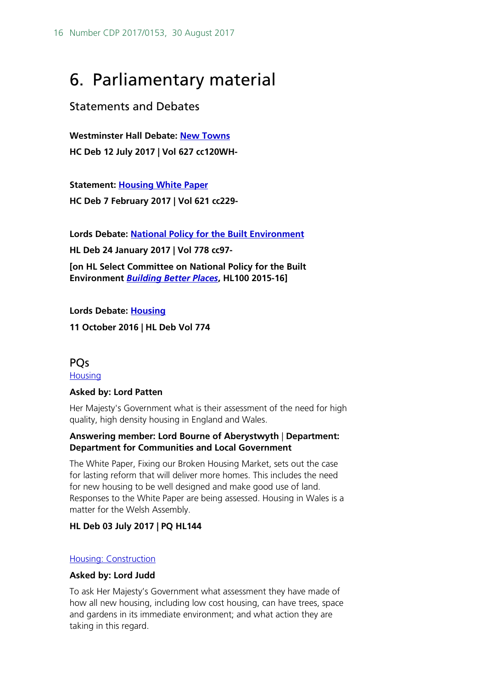# <span id="page-15-0"></span>6. Parliamentary material

## <span id="page-15-1"></span>Statements and Debates

**Westminster Hall Debate: [New Towns](http://hansard.parliament.uk/commons/2017-07-12/debates/17071239000001/NewTowns) HC Deb 12 July 2017 | Vol 627 cc120WH-**

**Statement: [Housing White Paper](http://hansard.parliament.uk/commons/2017-02-07/debates/DF682A35-5720-4F52-B6DC-C862EFDED0D8/HousingWhitePaper) HC Deb 7 February 2017 | Vol 621 cc229-**

**Lords Debate: [National Policy for the Built Environment](http://hansard.parliament.uk/Lords/2017-01-24/debates/6FEFB89B-8B7B-403D-B886-2BAE5C5C9636/NationalPolicyForTheBuiltEnvironment)**

**HL Deb 24 January 2017 | Vol 778 cc97-**

**[on HL Select Committee on National Policy for the Built Environment** *[Building Better Places](https://publications.parliament.uk/pa/ld201516/ldselect/ldbuilt/100/100.pdf)***, HL100 2015-16]**

**Lords Debate: [Housing](http://hansard.parliament.uk/Lords/2016-10-11/debates/F79F3871-D338-48CE-8CFC-97A01B053164/Housing) 11 October 2016 | HL Deb Vol 774**

## <span id="page-15-2"></span>**POs [Housing](http://www.parliament.uk/written-questions-answers-statements/written-question/lords/2017-06-22/HL144)**

## **Asked by: Lord Patten**

Her Majesty's Government what is their assessment of the need for high quality, high density housing in England and Wales.

## **Answering member: Lord Bourne of Aberystwyth** | **Department: Department for Communities and Local Government**

The White Paper, Fixing our Broken Housing Market, sets out the case for lasting reform that will deliver more homes. This includes the need for new housing to be well designed and make good use of land. Responses to the White Paper are being assessed. Housing in Wales is a matter for the Welsh Assembly.

## **HL Deb 03 July 2017 | PQ HL144**

## [Housing: Construction](http://www.parliament.uk/written-questions-answers-statements/written-question/lords/2017-03-13/HL6032)

## **Asked by: Lord Judd**

To ask Her Majesty's Government what assessment they have made of how all new housing, including low cost housing, can have trees, space and gardens in its immediate environment; and what action they are taking in this regard.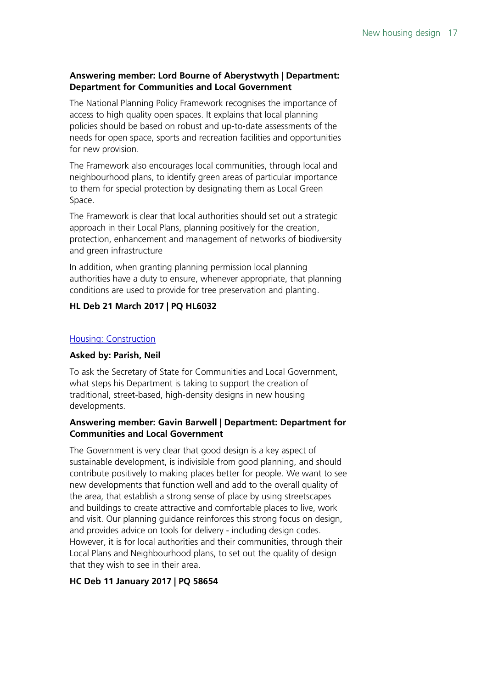## **Answering member: Lord Bourne of Aberystwyth | Department: Department for Communities and Local Government**

The National Planning Policy Framework recognises the importance of access to high quality open spaces. It explains that local planning policies should be based on robust and up-to-date assessments of the needs for open space, sports and recreation facilities and opportunities for new provision.

The Framework also encourages local communities, through local and neighbourhood plans, to identify green areas of particular importance to them for special protection by designating them as Local Green Space.

The Framework is clear that local authorities should set out a strategic approach in their Local Plans, planning positively for the creation, protection, enhancement and management of networks of biodiversity and green infrastructure

In addition, when granting planning permission local planning authorities have a duty to ensure, whenever appropriate, that planning conditions are used to provide for tree preservation and planting.

## **HL Deb 21 March 2017 | PQ HL6032**

## [Housing: Construction](http://www.parliament.uk/written-questions-answers-statements/written-question/commons/2016-12-20/58654)

## **Asked by: Parish, Neil**

To ask the Secretary of State for Communities and Local Government, what steps his Department is taking to support the creation of traditional, street-based, high-density designs in new housing developments.

## **Answering member: Gavin Barwell | Department: Department for Communities and Local Government**

The Government is very clear that good design is a key aspect of sustainable development, is indivisible from good planning, and should contribute positively to making places better for people. We want to see new developments that function well and add to the overall quality of the area, that establish a strong sense of place by using streetscapes and buildings to create attractive and comfortable places to live, work and visit. Our planning guidance reinforces this strong focus on design, and provides advice on tools for delivery - including design codes. However, it is for local authorities and their communities, through their Local Plans and Neighbourhood plans, to set out the quality of design that they wish to see in their area.

## **HC Deb 11 January 2017 | PQ 58654**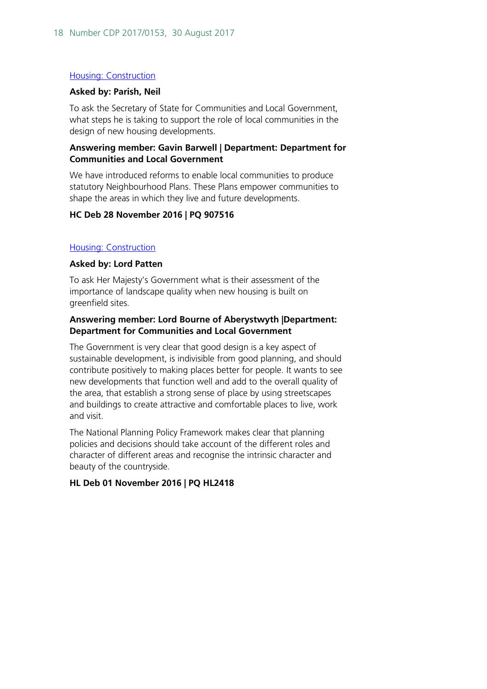## [Housing: Construction](http://www.parliament.uk/written-questions-answers-statements/written-question/commons/2016-11-22/907516)

#### **Asked by: Parish, Neil**

To ask the Secretary of State for Communities and Local Government, what steps he is taking to support the role of local communities in the design of new housing developments.

## **Answering member: Gavin Barwell | Department: Department for Communities and Local Government**

We have introduced reforms to enable local communities to produce statutory Neighbourhood Plans. These Plans empower communities to shape the areas in which they live and future developments.

## **HC Deb 28 November 2016 | PQ 907516**

## [Housing: Construction](http://www.parliament.uk/written-questions-answers-statements/written-question/lords/2016-10-18/HL2418)

## **Asked by: Lord Patten**

To ask Her Majesty's Government what is their assessment of the importance of landscape quality when new housing is built on greenfield sites.

## **Answering member: Lord Bourne of Aberystwyth |Department: Department for Communities and Local Government**

The Government is very clear that good design is a key aspect of sustainable development, is indivisible from good planning, and should contribute positively to making places better for people. It wants to see new developments that function well and add to the overall quality of the area, that establish a strong sense of place by using streetscapes and buildings to create attractive and comfortable places to live, work and visit.

The National Planning Policy Framework makes clear that planning policies and decisions should take account of the different roles and character of different areas and recognise the intrinsic character and beauty of the countryside.

## **HL Deb 01 November 2016 | PQ HL2418**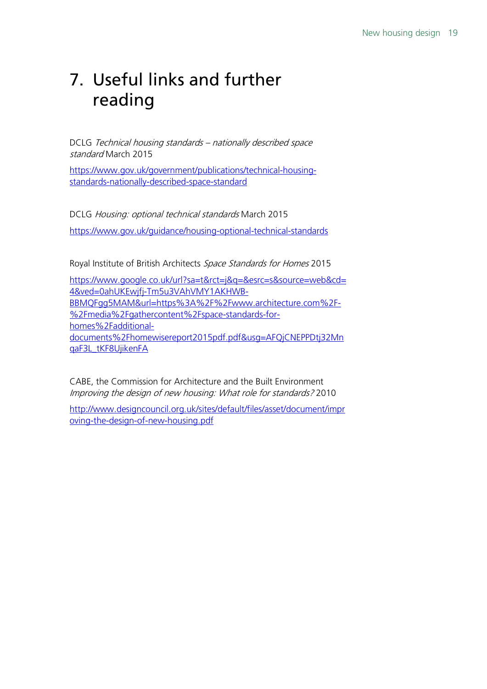# <span id="page-18-0"></span>7. Useful links and further reading

DCLG Technical housing standards – nationally described space standard March 2015

[https://www.gov.uk/government/publications/technical-housing](https://www.gov.uk/government/publications/technical-housing-standards-nationally-described-space-standard)[standards-nationally-described-space-standard](https://www.gov.uk/government/publications/technical-housing-standards-nationally-described-space-standard)

DCLG Housing: optional technical standards March 2015 <https://www.gov.uk/guidance/housing-optional-technical-standards>

Royal Institute of British Architects Space Standards for Homes 2015

[https://www.google.co.uk/url?sa=t&rct=j&q=&esrc=s&source=web&cd=](https://www.google.co.uk/url?sa=t&rct=j&q=&esrc=s&source=web&cd=4&ved=0ahUKEwjfj-Tm5u3VAhVMY1AKHWB-BBMQFgg5MAM&url=https%3A%2F%2Fwww.architecture.com%2F-%2Fmedia%2Fgathercontent%2Fspace-standards-for-homes%2Fadditional-documents%2Fhomewisereport2015pdf.pdf&usg=AFQjCNEPPDtj32MnqaF3L_tKF8UjikenFA) [4&ved=0ahUKEwjfj-Tm5u3VAhVMY1AKHWB-](https://www.google.co.uk/url?sa=t&rct=j&q=&esrc=s&source=web&cd=4&ved=0ahUKEwjfj-Tm5u3VAhVMY1AKHWB-BBMQFgg5MAM&url=https%3A%2F%2Fwww.architecture.com%2F-%2Fmedia%2Fgathercontent%2Fspace-standards-for-homes%2Fadditional-documents%2Fhomewisereport2015pdf.pdf&usg=AFQjCNEPPDtj32MnqaF3L_tKF8UjikenFA)[BBMQFgg5MAM&url=https%3A%2F%2Fwww.architecture.com%2F-](https://www.google.co.uk/url?sa=t&rct=j&q=&esrc=s&source=web&cd=4&ved=0ahUKEwjfj-Tm5u3VAhVMY1AKHWB-BBMQFgg5MAM&url=https%3A%2F%2Fwww.architecture.com%2F-%2Fmedia%2Fgathercontent%2Fspace-standards-for-homes%2Fadditional-documents%2Fhomewisereport2015pdf.pdf&usg=AFQjCNEPPDtj32MnqaF3L_tKF8UjikenFA) [%2Fmedia%2Fgathercontent%2Fspace-standards-for](https://www.google.co.uk/url?sa=t&rct=j&q=&esrc=s&source=web&cd=4&ved=0ahUKEwjfj-Tm5u3VAhVMY1AKHWB-BBMQFgg5MAM&url=https%3A%2F%2Fwww.architecture.com%2F-%2Fmedia%2Fgathercontent%2Fspace-standards-for-homes%2Fadditional-documents%2Fhomewisereport2015pdf.pdf&usg=AFQjCNEPPDtj32MnqaF3L_tKF8UjikenFA)[homes%2Fadditional](https://www.google.co.uk/url?sa=t&rct=j&q=&esrc=s&source=web&cd=4&ved=0ahUKEwjfj-Tm5u3VAhVMY1AKHWB-BBMQFgg5MAM&url=https%3A%2F%2Fwww.architecture.com%2F-%2Fmedia%2Fgathercontent%2Fspace-standards-for-homes%2Fadditional-documents%2Fhomewisereport2015pdf.pdf&usg=AFQjCNEPPDtj32MnqaF3L_tKF8UjikenFA)[documents%2Fhomewisereport2015pdf.pdf&usg=AFQjCNEPPDtj32Mn](https://www.google.co.uk/url?sa=t&rct=j&q=&esrc=s&source=web&cd=4&ved=0ahUKEwjfj-Tm5u3VAhVMY1AKHWB-BBMQFgg5MAM&url=https%3A%2F%2Fwww.architecture.com%2F-%2Fmedia%2Fgathercontent%2Fspace-standards-for-homes%2Fadditional-documents%2Fhomewisereport2015pdf.pdf&usg=AFQjCNEPPDtj32MnqaF3L_tKF8UjikenFA) [qaF3L\\_tKF8UjikenFA](https://www.google.co.uk/url?sa=t&rct=j&q=&esrc=s&source=web&cd=4&ved=0ahUKEwjfj-Tm5u3VAhVMY1AKHWB-BBMQFgg5MAM&url=https%3A%2F%2Fwww.architecture.com%2F-%2Fmedia%2Fgathercontent%2Fspace-standards-for-homes%2Fadditional-documents%2Fhomewisereport2015pdf.pdf&usg=AFQjCNEPPDtj32MnqaF3L_tKF8UjikenFA)

CABE, the Commission for Architecture and the Built Environment Improving the design of new housing: What role for standards? 2010

[http://www.designcouncil.org.uk/sites/default/files/asset/document/impr](http://www.designcouncil.org.uk/sites/default/files/asset/document/improving-the-design-of-new-housing.pdf) [oving-the-design-of-new-housing.pdf](http://www.designcouncil.org.uk/sites/default/files/asset/document/improving-the-design-of-new-housing.pdf)